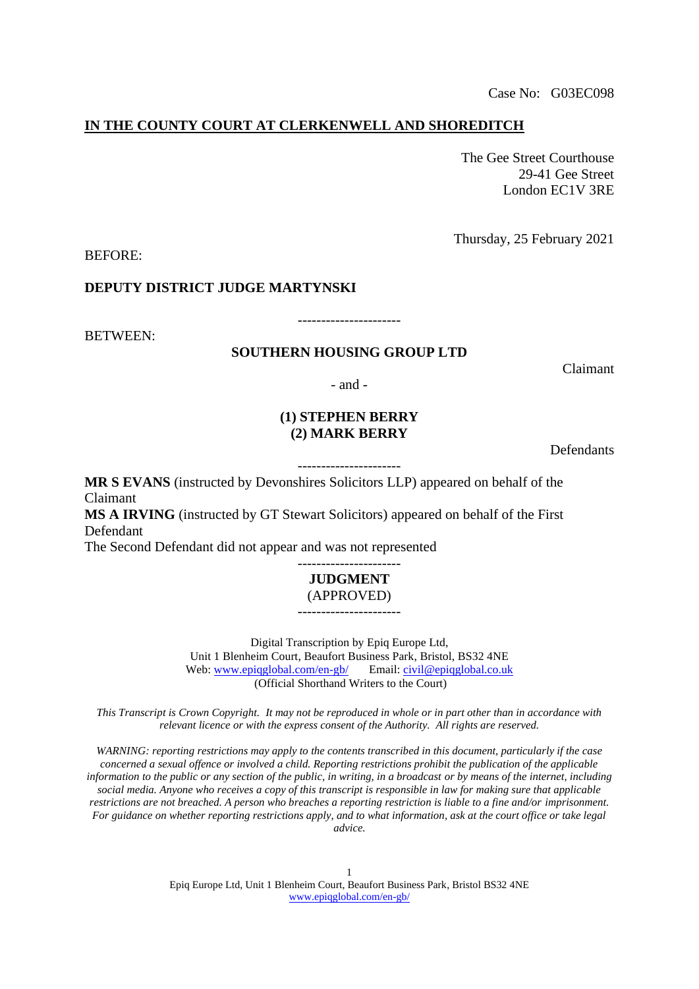### **IN THE COUNTY COURT AT CLERKENWELL AND SHOREDITCH**

The Gee Street Courthouse 29-41 Gee Street London EC1V 3RE

Thursday, 25 February 2021

BEFORE:

**DEPUTY DISTRICT JUDGE MARTYNSKI**

BETWEEN:

## **SOUTHERN HOUSING GROUP LTD**

----------------------

- and -

## **(1) STEPHEN BERRY (2) MARK BERRY**

**Defendants** 

Claimant

----------------------

**MR S EVANS** (instructed by Devonshires Solicitors LLP) appeared on behalf of the Claimant **MS A IRVING** (instructed by GT Stewart Solicitors) appeared on behalf of the First Defendant

The Second Defendant did not appear and was not represented

### ---------------------- **JUDGMENT** (APPROVED)

----------------------

Digital Transcription by Epiq Europe Ltd, Unit 1 Blenheim Court, Beaufort Business Park, Bristol, BS32 4NE Web: [www.epiqglobal.com/en-gb/](http://www.epiqglobal.com/en-gb/) Email[: civil@epiqglobal.co.uk](mailto:courttranscripts@epiqglobal.co.uk) (Official Shorthand Writers to the Court)

*This Transcript is Crown Copyright. It may not be reproduced in whole or in part other than in accordance with relevant licence or with the express consent of the Authority. All rights are reserved.*

*WARNING: reporting restrictions may apply to the contents transcribed in this document, particularly if the case concerned a sexual offence or involved a child. Reporting restrictions prohibit the publication of the applicable information to the public or any section of the public, in writing, in a broadcast or by means of the internet, including social media. Anyone who receives a copy of this transcript is responsible in law for making sure that applicable restrictions are not breached. A person who breaches a reporting restriction is liable to a fine and/or imprisonment. For guidance on whether reporting restrictions apply, and to what information, ask at the court office or take legal advice.*

> 1 Epiq Europe Ltd, Unit 1 Blenheim Court, Beaufort Business Park, Bristol BS32 4NE [www.epiqglobal.com/en-gb/](http://www.epiqglobal.com/en-gb/)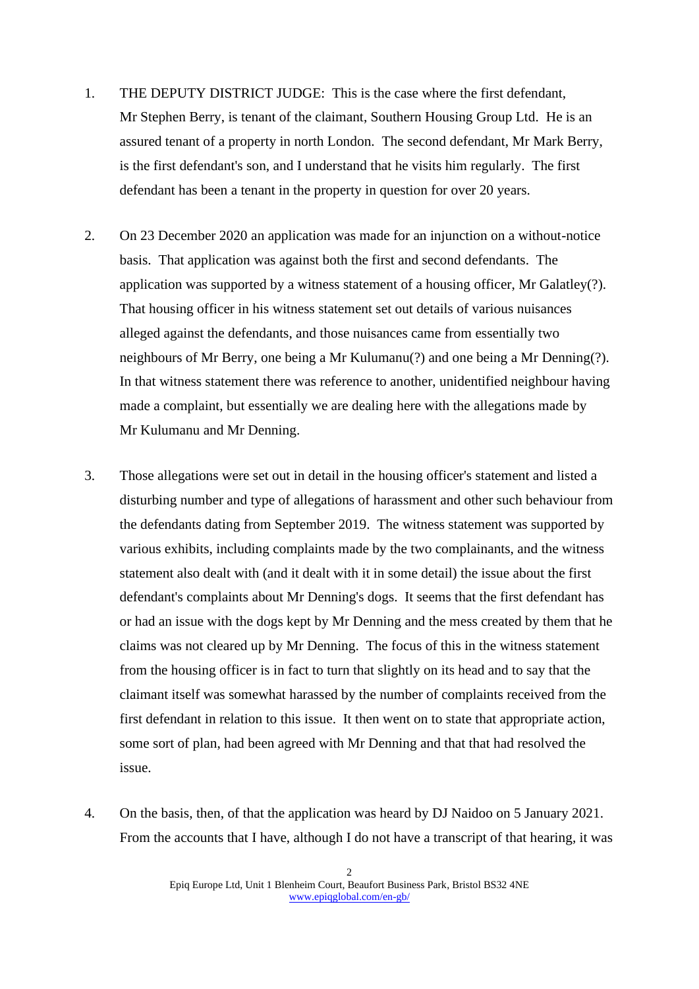- 1. THE DEPUTY DISTRICT JUDGE: This is the case where the first defendant, Mr Stephen Berry, is tenant of the claimant, Southern Housing Group Ltd. He is an assured tenant of a property in north London. The second defendant, Mr Mark Berry, is the first defendant's son, and I understand that he visits him regularly. The first defendant has been a tenant in the property in question for over 20 years.
- 2. On 23 December 2020 an application was made for an injunction on a without-notice basis. That application was against both the first and second defendants. The application was supported by a witness statement of a housing officer, Mr Galatley(?). That housing officer in his witness statement set out details of various nuisances alleged against the defendants, and those nuisances came from essentially two neighbours of Mr Berry, one being a Mr Kulumanu(?) and one being a Mr Denning(?). In that witness statement there was reference to another, unidentified neighbour having made a complaint, but essentially we are dealing here with the allegations made by Mr Kulumanu and Mr Denning.
- 3. Those allegations were set out in detail in the housing officer's statement and listed a disturbing number and type of allegations of harassment and other such behaviour from the defendants dating from September 2019. The witness statement was supported by various exhibits, including complaints made by the two complainants, and the witness statement also dealt with (and it dealt with it in some detail) the issue about the first defendant's complaints about Mr Denning's dogs. It seems that the first defendant has or had an issue with the dogs kept by Mr Denning and the mess created by them that he claims was not cleared up by Mr Denning. The focus of this in the witness statement from the housing officer is in fact to turn that slightly on its head and to say that the claimant itself was somewhat harassed by the number of complaints received from the first defendant in relation to this issue. It then went on to state that appropriate action, some sort of plan, had been agreed with Mr Denning and that that had resolved the issue.
- 4. On the basis, then, of that the application was heard by DJ Naidoo on 5 January 2021. From the accounts that I have, although I do not have a transcript of that hearing, it was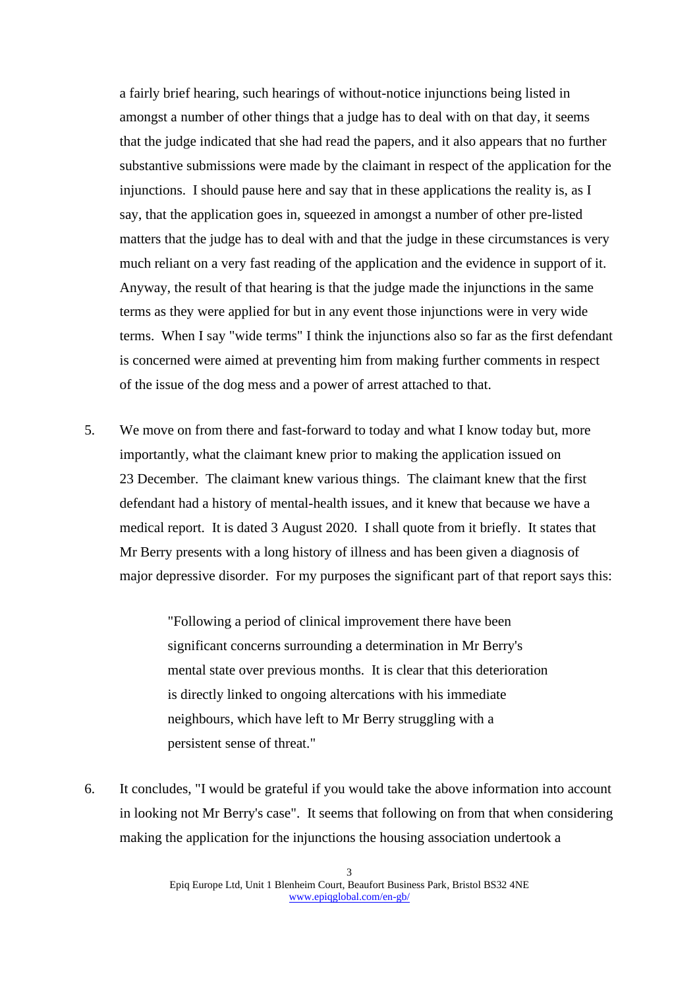a fairly brief hearing, such hearings of without-notice injunctions being listed in amongst a number of other things that a judge has to deal with on that day, it seems that the judge indicated that she had read the papers, and it also appears that no further substantive submissions were made by the claimant in respect of the application for the injunctions. I should pause here and say that in these applications the reality is, as I say, that the application goes in, squeezed in amongst a number of other pre-listed matters that the judge has to deal with and that the judge in these circumstances is very much reliant on a very fast reading of the application and the evidence in support of it. Anyway, the result of that hearing is that the judge made the injunctions in the same terms as they were applied for but in any event those injunctions were in very wide terms. When I say "wide terms" I think the injunctions also so far as the first defendant is concerned were aimed at preventing him from making further comments in respect of the issue of the dog mess and a power of arrest attached to that.

5. We move on from there and fast-forward to today and what I know today but, more importantly, what the claimant knew prior to making the application issued on 23 December. The claimant knew various things. The claimant knew that the first defendant had a history of mental-health issues, and it knew that because we have a medical report. It is dated 3 August 2020. I shall quote from it briefly. It states that Mr Berry presents with a long history of illness and has been given a diagnosis of major depressive disorder. For my purposes the significant part of that report says this:

> "Following a period of clinical improvement there have been significant concerns surrounding a determination in Mr Berry's mental state over previous months. It is clear that this deterioration is directly linked to ongoing altercations with his immediate neighbours, which have left to Mr Berry struggling with a persistent sense of threat."

6. It concludes, "I would be grateful if you would take the above information into account in looking not Mr Berry's case". It seems that following on from that when considering making the application for the injunctions the housing association undertook a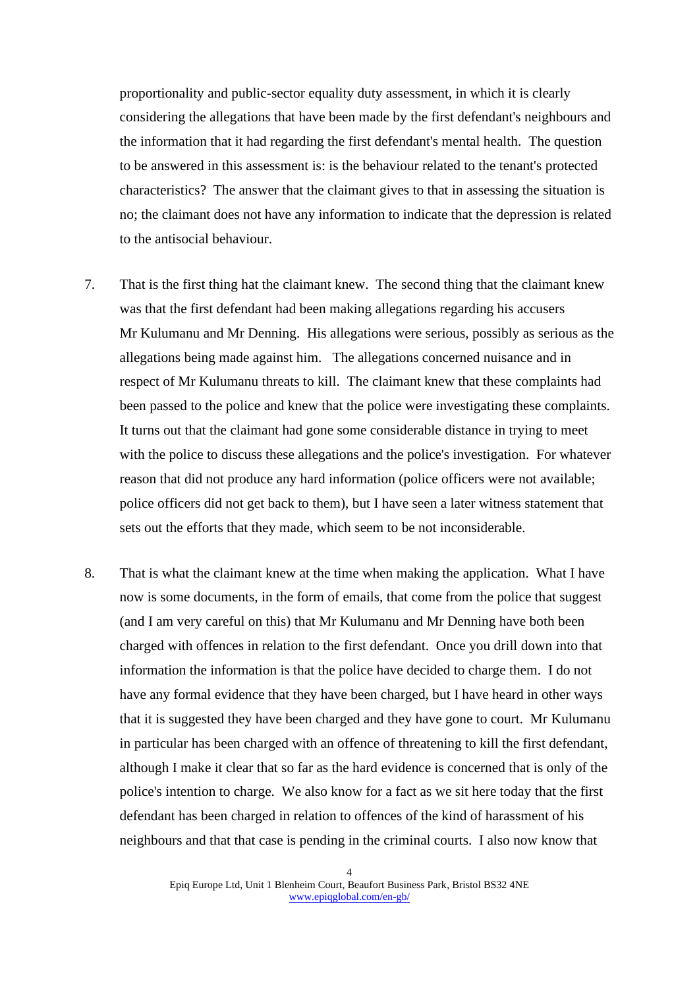proportionality and public-sector equality duty assessment, in which it is clearly considering the allegations that have been made by the first defendant's neighbours and the information that it had regarding the first defendant's mental health. The question to be answered in this assessment is: is the behaviour related to the tenant's protected characteristics? The answer that the claimant gives to that in assessing the situation is no; the claimant does not have any information to indicate that the depression is related to the antisocial behaviour.

- 7. That is the first thing hat the claimant knew. The second thing that the claimant knew was that the first defendant had been making allegations regarding his accusers Mr Kulumanu and Mr Denning. His allegations were serious, possibly as serious as the allegations being made against him. The allegations concerned nuisance and in respect of Mr Kulumanu threats to kill. The claimant knew that these complaints had been passed to the police and knew that the police were investigating these complaints. It turns out that the claimant had gone some considerable distance in trying to meet with the police to discuss these allegations and the police's investigation. For whatever reason that did not produce any hard information (police officers were not available; police officers did not get back to them), but I have seen a later witness statement that sets out the efforts that they made, which seem to be not inconsiderable.
- 8. That is what the claimant knew at the time when making the application. What I have now is some documents, in the form of emails, that come from the police that suggest (and I am very careful on this) that Mr Kulumanu and Mr Denning have both been charged with offences in relation to the first defendant. Once you drill down into that information the information is that the police have decided to charge them. I do not have any formal evidence that they have been charged, but I have heard in other ways that it is suggested they have been charged and they have gone to court. Mr Kulumanu in particular has been charged with an offence of threatening to kill the first defendant, although I make it clear that so far as the hard evidence is concerned that is only of the police's intention to charge. We also know for a fact as we sit here today that the first defendant has been charged in relation to offences of the kind of harassment of his neighbours and that that case is pending in the criminal courts. I also now know that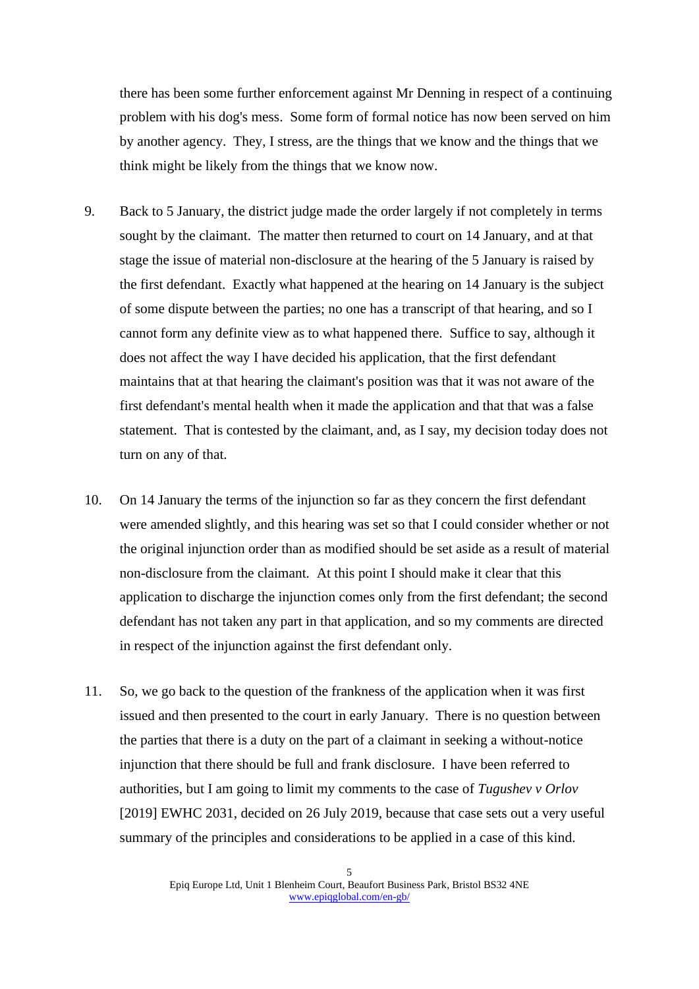there has been some further enforcement against Mr Denning in respect of a continuing problem with his dog's mess. Some form of formal notice has now been served on him by another agency. They, I stress, are the things that we know and the things that we think might be likely from the things that we know now.

- 9. Back to 5 January, the district judge made the order largely if not completely in terms sought by the claimant. The matter then returned to court on 14 January, and at that stage the issue of material non-disclosure at the hearing of the 5 January is raised by the first defendant. Exactly what happened at the hearing on 14 January is the subject of some dispute between the parties; no one has a transcript of that hearing, and so I cannot form any definite view as to what happened there. Suffice to say, although it does not affect the way I have decided his application, that the first defendant maintains that at that hearing the claimant's position was that it was not aware of the first defendant's mental health when it made the application and that that was a false statement. That is contested by the claimant, and, as I say, my decision today does not turn on any of that.
- 10. On 14 January the terms of the injunction so far as they concern the first defendant were amended slightly, and this hearing was set so that I could consider whether or not the original injunction order than as modified should be set aside as a result of material non-disclosure from the claimant. At this point I should make it clear that this application to discharge the injunction comes only from the first defendant; the second defendant has not taken any part in that application, and so my comments are directed in respect of the injunction against the first defendant only.
- 11. So, we go back to the question of the frankness of the application when it was first issued and then presented to the court in early January. There is no question between the parties that there is a duty on the part of a claimant in seeking a without-notice injunction that there should be full and frank disclosure. I have been referred to authorities, but I am going to limit my comments to the case of *Tugushev v Orlov*  [2019] EWHC 2031, decided on 26 July 2019, because that case sets out a very useful summary of the principles and considerations to be applied in a case of this kind.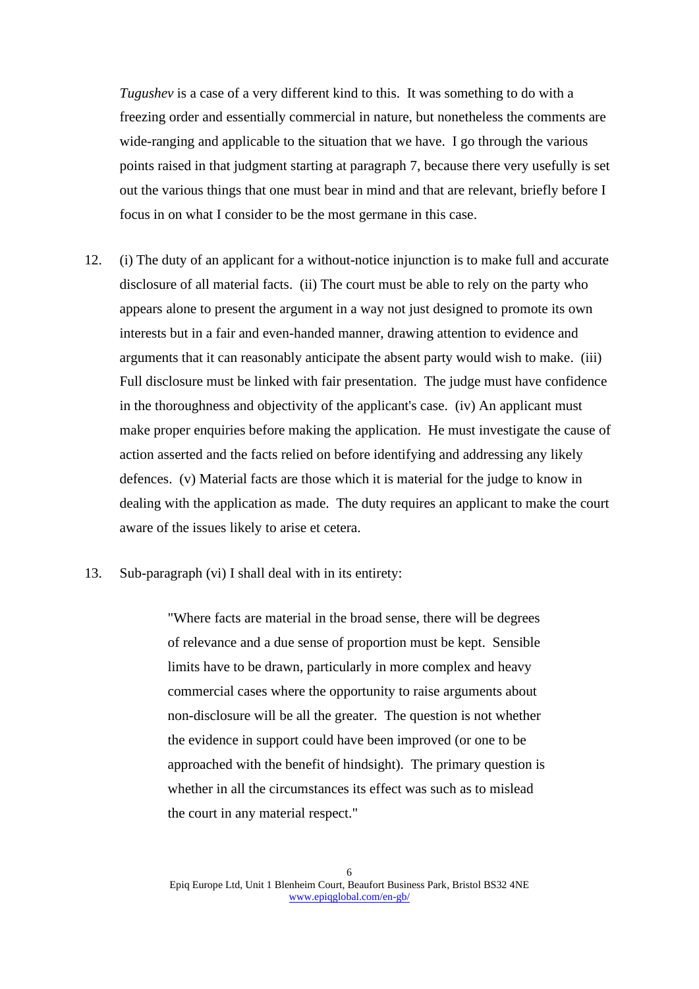*Tugushev* is a case of a very different kind to this. It was something to do with a freezing order and essentially commercial in nature, but nonetheless the comments are wide-ranging and applicable to the situation that we have. I go through the various points raised in that judgment starting at paragraph 7, because there very usefully is set out the various things that one must bear in mind and that are relevant, briefly before I focus in on what I consider to be the most germane in this case.

- 12. (i) The duty of an applicant for a without-notice injunction is to make full and accurate disclosure of all material facts. (ii) The court must be able to rely on the party who appears alone to present the argument in a way not just designed to promote its own interests but in a fair and even-handed manner, drawing attention to evidence and arguments that it can reasonably anticipate the absent party would wish to make. (iii) Full disclosure must be linked with fair presentation. The judge must have confidence in the thoroughness and objectivity of the applicant's case. (iv) An applicant must make proper enquiries before making the application. He must investigate the cause of action asserted and the facts relied on before identifying and addressing any likely defences. (v) Material facts are those which it is material for the judge to know in dealing with the application as made. The duty requires an applicant to make the court aware of the issues likely to arise et cetera.
- 13. Sub-paragraph (vi) I shall deal with in its entirety:

"Where facts are material in the broad sense, there will be degrees of relevance and a due sense of proportion must be kept. Sensible limits have to be drawn, particularly in more complex and heavy commercial cases where the opportunity to raise arguments about non-disclosure will be all the greater. The question is not whether the evidence in support could have been improved (or one to be approached with the benefit of hindsight). The primary question is whether in all the circumstances its effect was such as to mislead the court in any material respect."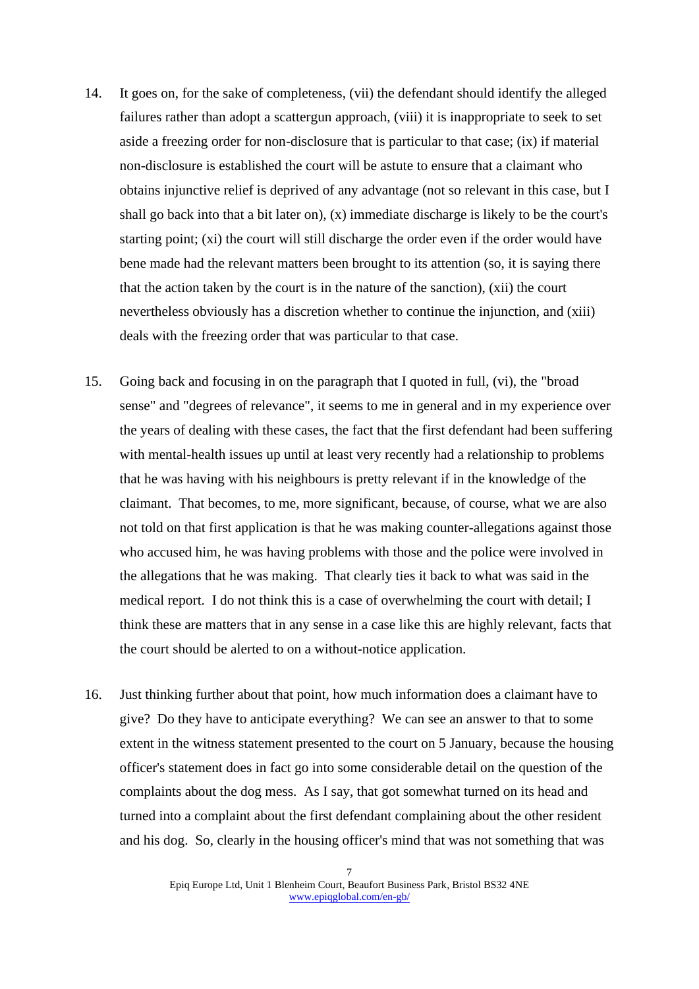- 14. It goes on, for the sake of completeness, (vii) the defendant should identify the alleged failures rather than adopt a scattergun approach, (viii) it is inappropriate to seek to set aside a freezing order for non-disclosure that is particular to that case; (ix) if material non-disclosure is established the court will be astute to ensure that a claimant who obtains injunctive relief is deprived of any advantage (not so relevant in this case, but I shall go back into that a bit later on),  $(x)$  immediate discharge is likely to be the court's starting point; (xi) the court will still discharge the order even if the order would have bene made had the relevant matters been brought to its attention (so, it is saying there that the action taken by the court is in the nature of the sanction), (xii) the court nevertheless obviously has a discretion whether to continue the injunction, and (xiii) deals with the freezing order that was particular to that case.
- 15. Going back and focusing in on the paragraph that I quoted in full, (vi), the "broad sense" and "degrees of relevance", it seems to me in general and in my experience over the years of dealing with these cases, the fact that the first defendant had been suffering with mental-health issues up until at least very recently had a relationship to problems that he was having with his neighbours is pretty relevant if in the knowledge of the claimant. That becomes, to me, more significant, because, of course, what we are also not told on that first application is that he was making counter-allegations against those who accused him, he was having problems with those and the police were involved in the allegations that he was making. That clearly ties it back to what was said in the medical report. I do not think this is a case of overwhelming the court with detail; I think these are matters that in any sense in a case like this are highly relevant, facts that the court should be alerted to on a without-notice application.
- 16. Just thinking further about that point, how much information does a claimant have to give? Do they have to anticipate everything? We can see an answer to that to some extent in the witness statement presented to the court on 5 January, because the housing officer's statement does in fact go into some considerable detail on the question of the complaints about the dog mess. As I say, that got somewhat turned on its head and turned into a complaint about the first defendant complaining about the other resident and his dog. So, clearly in the housing officer's mind that was not something that was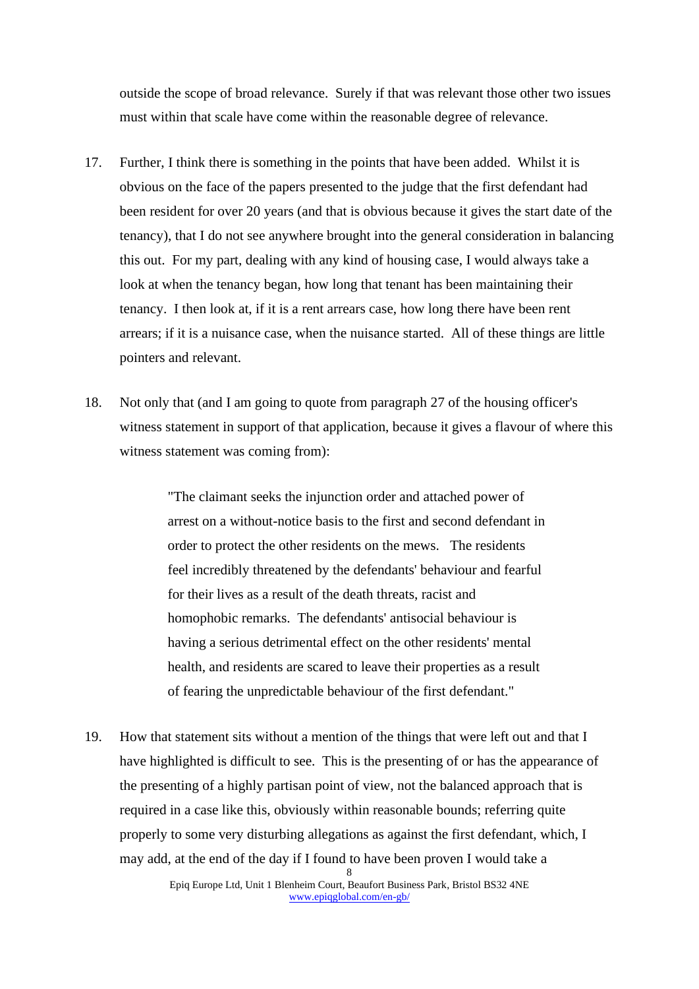outside the scope of broad relevance. Surely if that was relevant those other two issues must within that scale have come within the reasonable degree of relevance.

- 17. Further, I think there is something in the points that have been added. Whilst it is obvious on the face of the papers presented to the judge that the first defendant had been resident for over 20 years (and that is obvious because it gives the start date of the tenancy), that I do not see anywhere brought into the general consideration in balancing this out. For my part, dealing with any kind of housing case, I would always take a look at when the tenancy began, how long that tenant has been maintaining their tenancy. I then look at, if it is a rent arrears case, how long there have been rent arrears; if it is a nuisance case, when the nuisance started. All of these things are little pointers and relevant.
- 18. Not only that (and I am going to quote from paragraph 27 of the housing officer's witness statement in support of that application, because it gives a flavour of where this witness statement was coming from):

"The claimant seeks the injunction order and attached power of arrest on a without-notice basis to the first and second defendant in order to protect the other residents on the mews. The residents feel incredibly threatened by the defendants' behaviour and fearful for their lives as a result of the death threats, racist and homophobic remarks. The defendants' antisocial behaviour is having a serious detrimental effect on the other residents' mental health, and residents are scared to leave their properties as a result of fearing the unpredictable behaviour of the first defendant."

19. How that statement sits without a mention of the things that were left out and that I have highlighted is difficult to see. This is the presenting of or has the appearance of the presenting of a highly partisan point of view, not the balanced approach that is required in a case like this, obviously within reasonable bounds; referring quite properly to some very disturbing allegations as against the first defendant, which, I may add, at the end of the day if I found to have been proven I would take a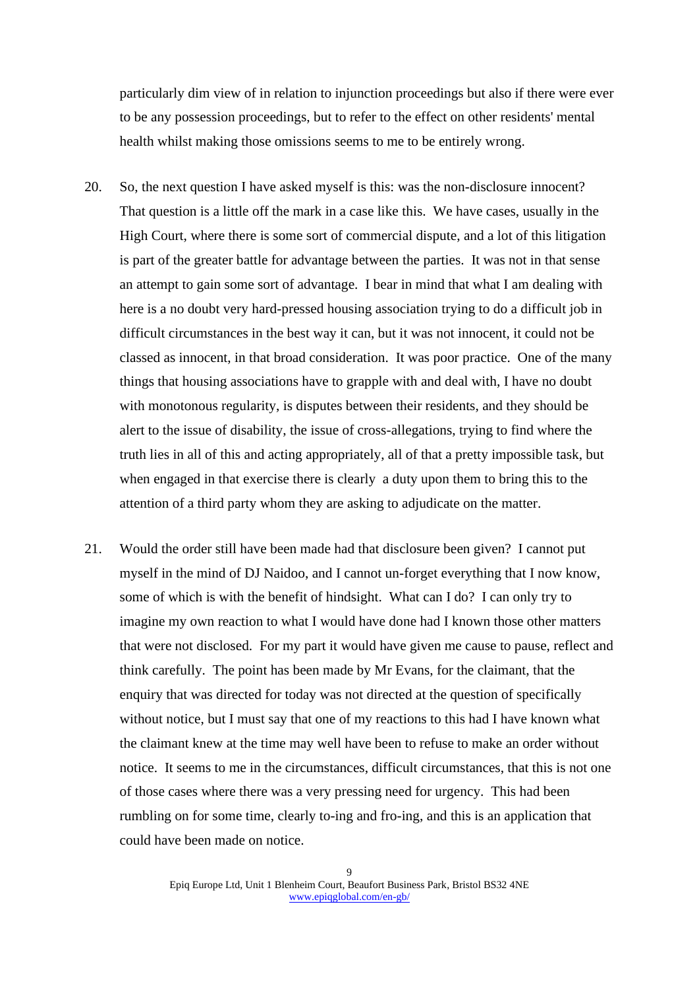particularly dim view of in relation to injunction proceedings but also if there were ever to be any possession proceedings, but to refer to the effect on other residents' mental health whilst making those omissions seems to me to be entirely wrong.

- 20. So, the next question I have asked myself is this: was the non-disclosure innocent? That question is a little off the mark in a case like this. We have cases, usually in the High Court, where there is some sort of commercial dispute, and a lot of this litigation is part of the greater battle for advantage between the parties. It was not in that sense an attempt to gain some sort of advantage. I bear in mind that what I am dealing with here is a no doubt very hard-pressed housing association trying to do a difficult job in difficult circumstances in the best way it can, but it was not innocent, it could not be classed as innocent, in that broad consideration. It was poor practice. One of the many things that housing associations have to grapple with and deal with, I have no doubt with monotonous regularity, is disputes between their residents, and they should be alert to the issue of disability, the issue of cross-allegations, trying to find where the truth lies in all of this and acting appropriately, all of that a pretty impossible task, but when engaged in that exercise there is clearly a duty upon them to bring this to the attention of a third party whom they are asking to adjudicate on the matter.
- 21. Would the order still have been made had that disclosure been given? I cannot put myself in the mind of DJ Naidoo, and I cannot un-forget everything that I now know, some of which is with the benefit of hindsight. What can I do? I can only try to imagine my own reaction to what I would have done had I known those other matters that were not disclosed. For my part it would have given me cause to pause, reflect and think carefully. The point has been made by Mr Evans, for the claimant, that the enquiry that was directed for today was not directed at the question of specifically without notice, but I must say that one of my reactions to this had I have known what the claimant knew at the time may well have been to refuse to make an order without notice. It seems to me in the circumstances, difficult circumstances, that this is not one of those cases where there was a very pressing need for urgency. This had been rumbling on for some time, clearly to-ing and fro-ing, and this is an application that could have been made on notice.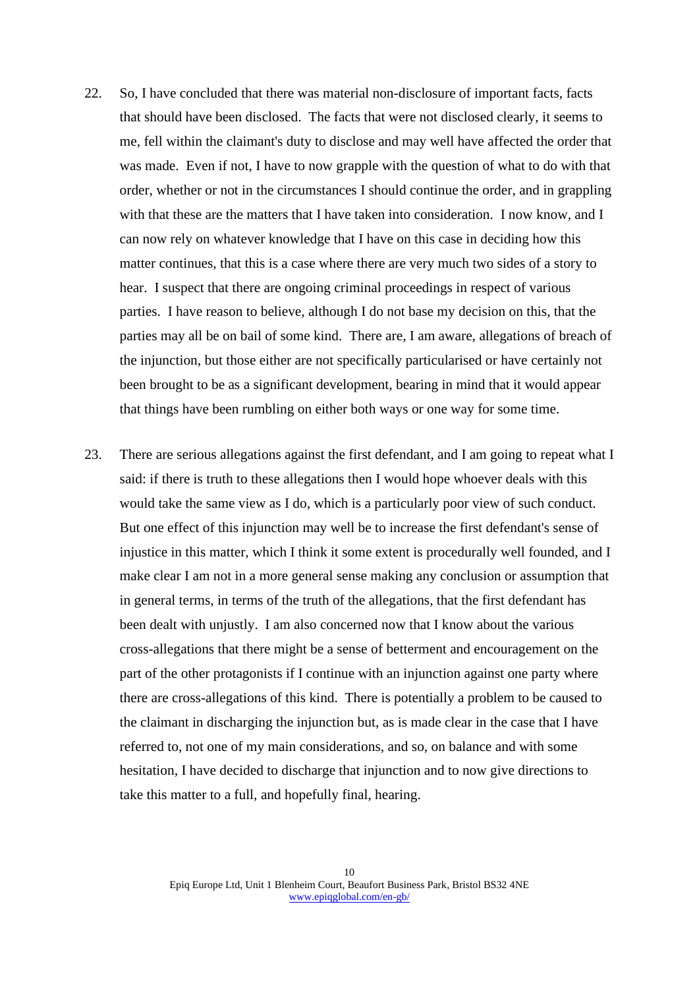- 22. So, I have concluded that there was material non-disclosure of important facts, facts that should have been disclosed. The facts that were not disclosed clearly, it seems to me, fell within the claimant's duty to disclose and may well have affected the order that was made. Even if not, I have to now grapple with the question of what to do with that order, whether or not in the circumstances I should continue the order, and in grappling with that these are the matters that I have taken into consideration. I now know, and I can now rely on whatever knowledge that I have on this case in deciding how this matter continues, that this is a case where there are very much two sides of a story to hear. I suspect that there are ongoing criminal proceedings in respect of various parties. I have reason to believe, although I do not base my decision on this, that the parties may all be on bail of some kind. There are, I am aware, allegations of breach of the injunction, but those either are not specifically particularised or have certainly not been brought to be as a significant development, bearing in mind that it would appear that things have been rumbling on either both ways or one way for some time.
- 23. There are serious allegations against the first defendant, and I am going to repeat what I said: if there is truth to these allegations then I would hope whoever deals with this would take the same view as I do, which is a particularly poor view of such conduct. But one effect of this injunction may well be to increase the first defendant's sense of injustice in this matter, which I think it some extent is procedurally well founded, and I make clear I am not in a more general sense making any conclusion or assumption that in general terms, in terms of the truth of the allegations, that the first defendant has been dealt with unjustly. I am also concerned now that I know about the various cross-allegations that there might be a sense of betterment and encouragement on the part of the other protagonists if I continue with an injunction against one party where there are cross-allegations of this kind. There is potentially a problem to be caused to the claimant in discharging the injunction but, as is made clear in the case that I have referred to, not one of my main considerations, and so, on balance and with some hesitation, I have decided to discharge that injunction and to now give directions to take this matter to a full, and hopefully final, hearing.